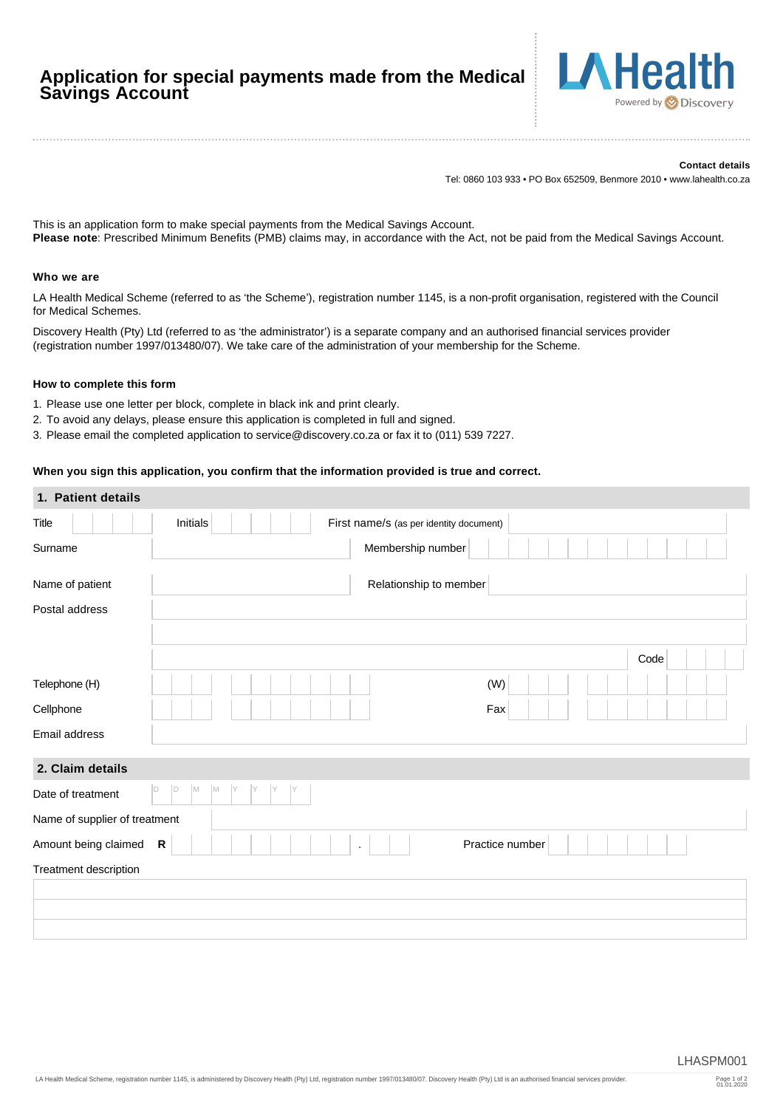# **Application for special payments made from the Medical Savings Account**



#### **Contact details**

Tel: 0860 103 933 • PO Box 652509, Benmore 2010 • www.lahealth.co.za

This is an application form to make special payments from the Medical Savings Account. **Please note**: Prescribed Minimum Benefits (PMB) claims may, in accordance with the Act, not be paid from the Medical Savings Account.

### **Who we are**

LA Health Medical Scheme (referred to as 'the Scheme'), registration number 1145, is a non-profit organisation, registered with the Council for Medical Schemes.

Discovery Health (Pty) Ltd (referred to as 'the administrator') is a separate company and an authorised financial services provider (registration number 1997/013480/07). We take care of the administration of your membership for the Scheme.

#### **How to complete this form**

- 1. Please use one letter per block, complete in black ink and print clearly.
- 2. To avoid any delays, please ensure this application is completed in full and signed.
- 3. Please email the completed application to service@discovery.co.za or fax it to (011) 539 7227.

# **When you sign this application, you confirm that the information provided is true and correct.**

| 1. Patient details            |                                                            |      |
|-------------------------------|------------------------------------------------------------|------|
| Title                         | <b>Initials</b><br>First name/s (as per identity document) |      |
| Surname                       | Membership number                                          |      |
| Name of patient               | Relationship to member                                     |      |
| Postal address                |                                                            |      |
|                               |                                                            |      |
|                               |                                                            | Code |
| Telephone (H)                 | (W)                                                        |      |
| Cellphone                     | Fax                                                        |      |
| Email address                 |                                                            |      |
| 2. Claim details              |                                                            |      |
| Date of treatment             | $\mathsf{D}$<br>M<br>M<br>D<br>Υ                           |      |
| Name of supplier of treatment |                                                            |      |
| Amount being claimed          | ${\sf R}$<br>Practice number                               |      |
| Treatment description         |                                                            |      |
|                               |                                                            |      |
|                               |                                                            |      |
|                               |                                                            |      |